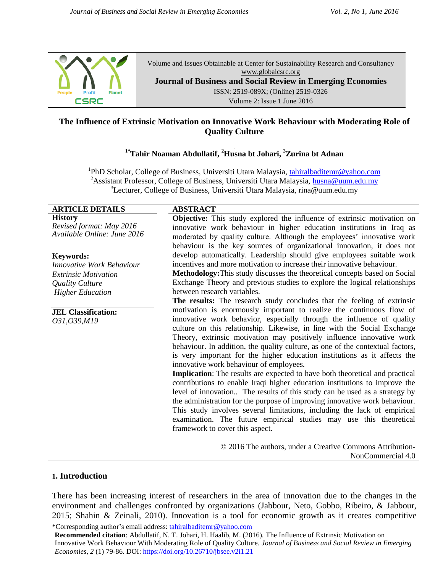

Volume and Issues Obtainable at Center for Sustainability Research and Consultancy [www.globalcsrc.org](http://www.globalcsrc.org/) **Journal of Business and Social Review in Emerging Economies** ISSN: 2519-089X; (Online) 2519-0326 Volume 2: Issue 1 June 2016

# **The Influence of Extrinsic Motivation on Innovative Work Behaviour with Moderating Role of Quality Culture**

### **[ 1\*Tahir Noaman Abdullatif, <sup>2</sup>Husna bt Johari, <sup>3</sup>Zurina bt Adnan**

<sup>1</sup>PhD Scholar, College of Business, Universiti Utara Malaysia, [tahiralbaditemr@yahoo.com](mailto:tahiralbaditemr@yahoo.com) <sup>2</sup>Assistant Professor, College of Business, Universiti Utara Malaysia, [husna@uum.edu.my](mailto:husna@uum.edu.my) <sup>3</sup>Lecturer, College of Business, Universiti Utara Malaysia, [rina@uum.edu.my](mailto:rina@uum.edu.my)

| <b>ARTICLE DETAILS</b>           | <b>ABSTRACT</b>                                                                     |
|----------------------------------|-------------------------------------------------------------------------------------|
| <b>History</b>                   | <b>Objective:</b> This study explored the influence of extrinsic motivation on      |
| Revised format: May 2016         | innovative work behaviour in higher education institutions in Iraq as               |
| Available Online: June 2016      | moderated by quality culture. Although the employees' innovative work               |
|                                  | behaviour is the key sources of organizational innovation, it does not              |
| <b>Keywords:</b>                 | develop automatically. Leadership should give employees suitable work               |
| <b>Innovative Work Behaviour</b> | incentives and more motivation to increase their innovative behaviour.              |
| <i>Extrinsic Motivation</i>      | Methodology: This study discusses the theoretical concepts based on Social          |
| Quality Culture                  | Exchange Theory and previous studies to explore the logical relationships           |
| <b>Higher Education</b>          | between research variables.                                                         |
|                                  | The results: The research study concludes that the feeling of extrinsic             |
| <b>JEL Classification:</b>       | motivation is enormously important to realize the continuous flow of                |
| O31, O39, M19                    | innovative work behavior, especially through the influence of quality               |
|                                  | culture on this relationship. Likewise, in line with the Social Exchange            |
|                                  | Theory, extrinsic motivation may positively influence innovative work               |
|                                  | behaviour. In addition, the quality culture, as one of the contextual factors,      |
|                                  | is very important for the higher education institutions as it affects the           |
|                                  | innovative work behaviour of employees.                                             |
|                                  | <b>Implication:</b> The results are expected to have both theoretical and practical |
|                                  | contributions to enable Iraqi higher education institutions to improve the          |
|                                  | level of innovation The results of this study can be used as a strategy by          |
|                                  | the administration for the purpose of improving innovative work behaviour.          |
|                                  | This study involves several limitations, including the lack of empirical            |
|                                  | examination. The future empirical studies may use this theoretical                  |
|                                  | framework to cover this aspect.                                                     |
|                                  | © 2016 The authors, under a Creative Commons Attribution-                           |
|                                  | NonCommercial 4.0                                                                   |
|                                  |                                                                                     |

### **1. Introduction**

There has been increasing interest of researchers in the area of innovation due to the changes in the environment and challenges confronted by organizations (Jabbour, Neto, Gobbo, Ribeiro, & Jabbour, 2015; Shahin & Zeinali, 2010). Innovation is a tool for economic growth as it creates competitive

<sup>\*</sup>Corresponding author's email address: tahiralbaditemr@yahoo.com

**Recommended citation**: Abdullatif, N. T. Johari, H. Haalib, M. (2016). The Influence of Extrinsic Motivation on Innovative Work Behaviour With Moderating Role of Quality Culture. *Journal of Business and Social Review in Emerging Economies, 2* (1) 79-86. DOI: https://doi.org/10.26710/jbsee.v2i1.21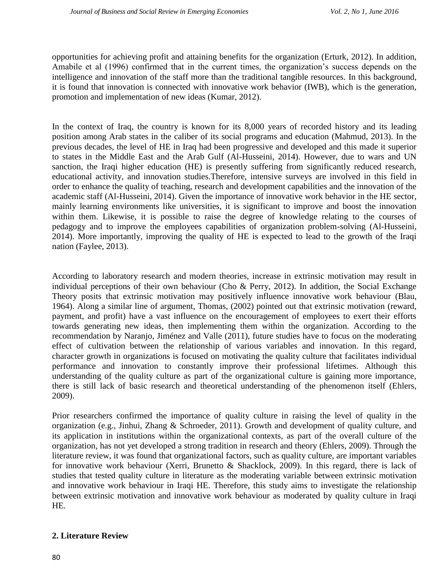opportunities for achieving profit and attaining benefits for the organization (Erturk, 2012). In addition, Amabile et al (1996) confirmed that in the current times, the organization's success depends on the intelligence and innovation of the staff more than the traditional tangible resources. In this background, it is found that innovation is connected with innovative work behavior (IWB), which is the generation, promotion and implementation of new ideas (Kumar, 2012).

In the context of Iraq, the country is known for its 8,000 years of recorded history and its leading position among Arab states in the caliber of its social programs and education (Mahmud, 2013). In the previous decades, the level of HE in Iraq had been progressive and developed and this made it superior to states in the Middle East and the Arab Gulf (Al-Husseini, 2014). However, due to wars and UN sanction, the Iraqi higher education (HE) is presently suffering from significantly reduced research, educational activity, and innovation studies.Therefore, intensive surveys are involved in this field in order to enhance the quality of teaching, research and development capabilities and the innovation of the academic staff (Al-Husseini, 2014). Given the importance of innovative work behavior in the HE sector, mainly learning environments like universities, it is significant to improve and boost the innovation within them. Likewise, it is possible to raise the degree of knowledge relating to the courses of pedagogy and to improve the employees capabilities of organization problem-solving (Al-Husseini, 2014). More importantly, improving the quality of HE is expected to lead to the growth of the Iraqi nation (Faylee, 2013).

According to laboratory research and modern theories, increase in extrinsic motivation may result in individual perceptions of their own behaviour (Cho & Perry, 2012). In addition, the Social Exchange Theory posits that extrinsic motivation may positively influence innovative work behaviour (Blau, 1964). Along a similar line of argument, Thomas, (2002) pointed out that extrinsic motivation (reward, payment, and profit) have a vast influence on the encouragement of employees to exert their efforts towards generating new ideas, then implementing them within the organization. According to the recommendation by Naranjo, Jiménez and Valle (2011), future studies have to focus on the moderating effect of cultivation between the relationship of various variables and innovation. In this regard, character growth in organizations is focused on motivating the quality culture that facilitates individual performance and innovation to constantly improve their professional lifetimes. Although this understanding of the quality culture as part of the organizational culture is gaining more importance, there is still lack of basic research and theoretical understanding of the phenomenon itself (Ehlers, 2009).

Prior researchers confirmed the importance of quality culture in raising the level of quality in the organization (e.g., Jinhui, Zhang & Schroeder, 2011). Growth and development of quality culture, and its application in institutions within the organizational contexts, as part of the overall culture of the organization, has not yet developed a strong tradition in research and theory (Ehlers, 2009). Through the literature review, it was found that organizational factors, such as quality culture, are important variables for innovative work behaviour (Xerri, Brunetto & Shacklock, 2009). In this regard, there is lack of studies that tested quality culture in literature as the moderating variable between extrinsic motivation and innovative work behaviour in Iraqi HE. Therefore, this study aims to investigate the relationship between extrinsic motivation and innovative work behaviour as moderated by quality culture in Iraqi HE.

### **2. Literature Review**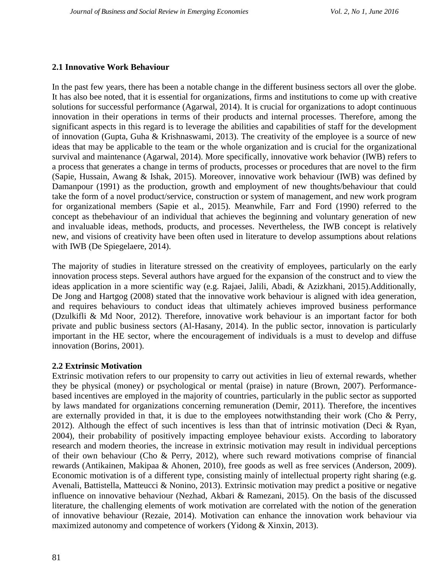# **2.1 Innovative Work Behaviour**

In the past few years, there has been a notable change in the different business sectors all over the globe. It has also bee noted, that it is essential for organizations, firms and institutions to come up with creative solutions for successful performance (Agarwal, 2014). It is crucial for organizations to adopt continuous innovation in their operations in terms of their products and internal processes. Therefore, among the significant aspects in this regard is to leverage the abilities and capabilities of staff for the development of innovation (Gupta, Guha & Krishnaswami, 2013). The creativity of the employee is a source of new ideas that may be applicable to the team or the whole organization and is crucial for the organizational survival and maintenance (Agarwal, 2014). More specifically, innovative work behavior (IWB) refers to a process that generates a change in terms of products, processes or procedures that are novel to the firm (Sapie, Hussain, Awang & Ishak, 2015). Moreover, innovative work behaviour (IWB) was defined by Damanpour (1991) as the production, growth and employment of new thoughts/behaviour that could take the form of a novel product/service, construction or system of management, and new work program for organizational members (Sapie et al., 2015). Meanwhile, Farr and Ford (1990) referred to the concept as thebehaviour of an individual that achieves the beginning and voluntary generation of new and invaluable ideas, methods, products, and processes. Nevertheless, the IWB concept is relatively new, and visions of creativity have been often used in literature to develop assumptions about relations with IWB (De Spiegelaere, 2014).

The majority of studies in literature stressed on the creativity of employees, particularly on the early innovation process steps. Several authors have argued for the expansion of the construct and to view the ideas application in a more scientific way (e.g. Rajaei, Jalili, Abadi, & Azizkhani, 2015).Additionally, De Jong and Hartgog (2008) stated that the innovative work behaviour is aligned with idea generation, and requires behaviours to conduct ideas that ultimately achieves improved business performance (Dzulkifli & Md Noor, 2012). Therefore, innovative work behaviour is an important factor for both private and public business sectors (Al-Hasany, 2014). In the public sector, innovation is particularly important in the HE sector, where the encouragement of individuals is a must to develop and diffuse innovation (Borins, 2001).

### **2.2 Extrinsic Motivation**

Extrinsic motivation refers to our propensity to carry out activities in lieu of external rewards, whether they be physical (money) or psychological or mental (praise) in nature (Brown, 2007). Performancebased incentives are employed in the majority of countries, particularly in the public sector as supported by laws mandated for organizations concerning remuneration (Demir, 2011). Therefore, the incentives are externally provided in that, it is due to the employees notwithstanding their work (Cho & Perry, 2012). Although the effect of such incentives is less than that of intrinsic motivation (Deci & Ryan, 2004), their probability of positively impacting employee behaviour exists. According to laboratory research and modern theories, the increase in extrinsic motivation may result in individual perceptions of their own behaviour (Cho & Perry, 2012), where such reward motivations comprise of financial rewards (Antikainen, Makipaa & Ahonen, 2010), free goods as well as free services (Anderson, 2009). Economic motivation is of a different type, consisting mainly of intellectual property right sharing (e.g. Avenali, Battistella, Matteucci & Nonino, 2013). Extrinsic motivation may predict a positive or negative influence on innovative behaviour (Nezhad, Akbari & Ramezani, 2015). On the basis of the discussed literature, the challenging elements of work motivation are correlated with the notion of the generation of innovative behaviour (Rezaie, 2014). Motivation can enhance the innovation work behaviour via maximized autonomy and competence of workers (Yidong & Xinxin, 2013).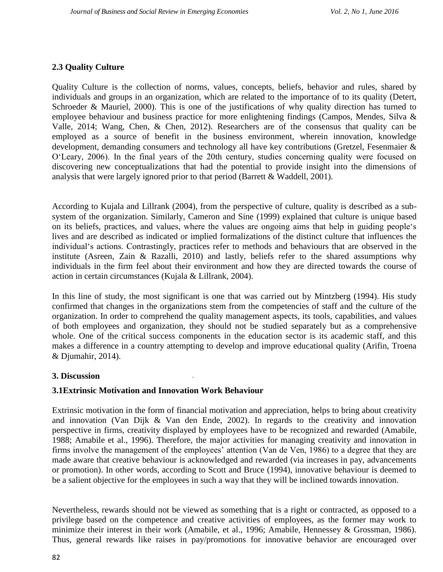# **2.3 Quality Culture**

Quality Culture is the collection of norms, values, concepts, beliefs, behavior and rules, shared by individuals and groups in an organization, which are related to the importance of to its quality (Detert, Schroeder & Mauriel, 2000). This is one of the justifications of why quality direction has turned to employee behaviour and business practice for more enlightening findings (Campos, Mendes, Silva & Valle, 2014; Wang, Chen, & Chen, 2012). Researchers are of the consensus that quality can be employed as a source of benefit in the business environment, wherein innovation, knowledge development, demanding consumers and technology all have key contributions (Gretzel, Fesenmaier & O'Leary, 2006). In the final years of the 20th century, studies concerning quality were focused on discovering new conceptualizations that had the potential to provide insight into the dimensions of analysis that were largely ignored prior to that period (Barrett & Waddell, 2001).

According to Kujala and Lillrank (2004), from the perspective of culture, quality is described as a subsystem of the organization. Similarly, Cameron and Sine (1999) explained that culture is unique based on its beliefs, practices, and values, where the values are ongoing aims that help in guiding people's lives and are described as indicated or implied formalizations of the distinct culture that influences the individual's actions. Contrastingly, practices refer to methods and behaviours that are observed in the institute (Asreen, Zain & Razalli, 2010) and lastly, beliefs refer to the shared assumptions why individuals in the firm feel about their environment and how they are directed towards the course of action in certain circumstances (Kujala & Lillrank, 2004).

In this line of study, the most significant is one that was carried out by Mintzberg (1994). His study confirmed that changes in the organizations stem from the competencies of staff and the culture of the organization. In order to comprehend the quality management aspects, its tools, capabilities, and values of both employees and organization, they should not be studied separately but as a comprehensive whole. One of the critical success components in the education sector is its academic staff, and this makes a difference in a country attempting to develop and improve educational quality (Arifin, Troena & Djumahir, 2014).

### **3. Discussion**

### **3.1Extrinsic Motivation and Innovation Work Behaviour**

Extrinsic motivation in the form of financial motivation and appreciation, helps to bring about creativity and innovation (Van Dijk & Van den Ende, 2002). In regards to the creativity and innovation perspective in firms, creativity displayed by employees have to be recognized and rewarded (Amabile, 1988; Amabile et al., 1996). Therefore, the major activities for managing creativity and innovation in firms involve the management of the employees' attention (Van de Ven, 1986) to a degree that they are made aware that creative behaviour is acknowledged and rewarded (via increases in pay, advancements or promotion). In other words, according to Scott and Bruce (1994), innovative behaviour is deemed to be a salient objective for the employees in such a way that they will be inclined towards innovation.

Nevertheless, rewards should not be viewed as something that is a right or contracted, as opposed to a privilege based on the competence and creative activities of employees, as the former may work to minimize their interest in their work (Amabile, et al., 1996; Amabile, Hennessey & Grossman, 1986). Thus, general rewards like raises in pay/promotions for innovative behavior are encouraged over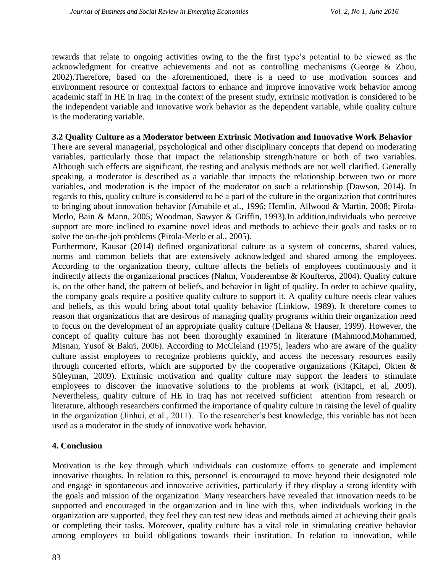rewards that relate to ongoing activities owing to the the first type's potential to be viewed as the acknowledgment for creative achievements and not as controlling mechanisms (George & Zhou, 2002).Therefore, based on the aforementioned, there is a need to use motivation sources and environment resource or contextual factors to enhance and improve innovative work behavior among academic staff in HE in Iraq. In the context of the present study, extrinsic motivation is considered to be the independent variable and innovative work behavior as the dependent variable, while quality culture is the moderating variable.

#### **3.2 Quality Culture as a Moderator between Extrinsic Motivation and Innovative Work Behavior**

There are several managerial, psychological and other disciplinary concepts that depend on moderating variables, particularly those that impact the relationship strength/nature or both of two variables. Although such effects are significant, the testing and analysis methods are not well clarified. Generally speaking, a moderator is described as a variable that impacts the relationship between two or more variables, and moderation is the impact of the moderator on such a relationship (Dawson, 2014). In regards to this, quality culture is considered to be a part of the culture in the organization that contributes to bringing about innovation behavior (Amabile et al., 1996; Hemlin, Allwood & Martin, 2008; Pirola-Merlo, Bain & Mann, 2005; Woodman, Sawyer & Griffin, 1993).In addition,individuals who perceive support are more inclined to examine novel ideas and methods to achieve their goals and tasks or to solve the on-the-job problems (Pirola-Merlo et al., 2005).

Furthermore, Kausar (2014) defined organizational culture as a system of concerns, shared values, norms and common beliefs that are extensively acknowledged and shared among the employees. According to the organization theory, culture affects the beliefs of employees continuously and it indirectly affects the organizational practices (Nahm, Vonderembse & Koufteros, 2004). Quality culture is, on the other hand, the pattern of beliefs, and behavior in light of quality. In order to achieve quality, the company goals require a positive quality culture to support it. A quality culture needs clear values and beliefs, as this would bring about total quality behavior (Linklow, 1989). It therefore comes to reason that organizations that are desirous of managing quality programs within their organization need to focus on the development of an appropriate quality culture (Dellana & Hauser, 1999). However, the concept of quality culture has not been thoroughly examined in literature (Mahmood,Mohammed, Misnan, Yusof & Bakri, 2006). According to McCleland (1975), leaders who are aware of the quality culture assist employees to recognize problems quickly, and access the necessary resources easily through concerted efforts, which are supported by the cooperative organizations (Kitapci, Okten  $\&$ Süleyman, 2009). Extrinsic motivation and quality culture may support the leaders to stimulate employees to discover the innovative solutions to the problems at work (Kitapci, et al, 2009). Nevertheless, quality culture of HE in Iraq has not received sufficient attention from research or literature, although researchers confirmed the importance of quality culture in raising the level of quality in the organization (Jinhui, et al., 2011). To the researcher's best knowledge, this variable has not been used as a moderator in the study of innovative work behavior.

### **4. Conclusion**

Motivation is the key through which individuals can customize efforts to generate and implement innovative thoughts. In relation to this, personnel is encouraged to move beyond their designated role and engage in spontaneous and innovative activities, particularly if they display a strong identity with the goals and mission of the organization. Many researchers have revealed that innovation needs to be supported and encouraged in the organization and in line with this, when individuals working in the organization are supported, they feel they can test new ideas and methods aimed at achieving their goals or completing their tasks. Moreover, quality culture has a vital role in stimulating creative behavior among employees to build obligations towards their institution. In relation to innovation, while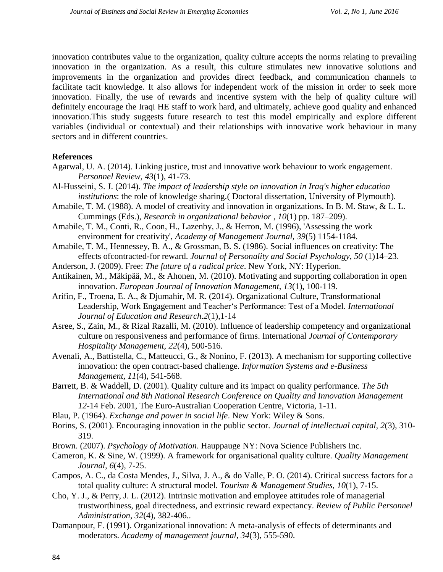innovation contributes value to the organization, quality culture accepts the norms relating to prevailing innovation in the organization. As a result, this culture stimulates new innovative solutions and improvements in the organization and provides direct feedback, and communication channels to facilitate tacit knowledge. It also allows for independent work of the mission in order to seek more innovation. Finally, the use of rewards and incentive system with the help of quality culture will definitely encourage the Iraqi HE staff to work hard, and ultimately, achieve good quality and enhanced innovation.This study suggests future research to test this model empirically and explore different variables (individual or contextual) and their relationships with innovative work behaviour in many sectors and in different countries.

#### **References**

- Agarwal, U. A. (2014). Linking justice, trust and innovative work behaviour to work engagement*. Personnel Review, 43*(1), 41-73.
- Al-Husseini, S. J. (2014). *The impact of leadership style on innovation in Iraq's higher education institutions*: the role of knowledge sharing.( Doctoral dissertation, University of Plymouth).
- Amabile, T. M. (1988). A model of creativity and innovation in organizations. In B. M. Staw, & L. L. Cummings (Eds.), *Research in organizational behavior* , *10*(1) pp. 187–209).
- Amabile, T. M., Conti, R., Coon, H., Lazenby, J., & Herron, M. (1996), 'Assessing the work environment for creativity', *Academy of Management Journal, 39*(5) 1154-1184.
- Amabile, T. M., Hennessey, B. A., & Grossman, B. S. (1986). Social influences on creativity: The effects ofcontracted-for reward. *Journal of Personality and Social Psychology, 50* (1)14–23.
- Anderson, J. (2009). Free: *The future of a radical price*. New York, NY: Hyperion.
- Antikainen, M., Mäkipää, M., & Ahonen, M. (2010). Motivating and supporting collaboration in open innovation. *European Journal of Innovation Management, 13*(1), 100-119.
- Arifin, F., Troena, E. A., & Djumahir, M. R. (2014). Organizational Culture, Transformational Leadership, Work Engagement and Teacher's Performance: Test of a Model. *International Journal of Education and Research.2*(1),1-14
- Asree, S., Zain, M., & Rizal Razalli, M. (2010). Influence of leadership competency and organizational culture on responsiveness and performance of firms. International *Journal of Contemporary Hospitality Management, 22*(4), 500-516.
- Avenali, A., Battistella, C., Matteucci, G., & Nonino, F. (2013). A mechanism for supporting collective innovation: the open contract-based challenge. *Information Systems and e-Business Management, 11*(4), 541-568.
- Barrett, B. & Waddell, D. (2001). Quality culture and its impact on quality performance. *The 5th International and 8th National Research Conference on Quality and Innovation Management 12*-14 Feb. 2001, The Euro-Australian Cooperation Centre, Victoria, 1-11.
- Blau, P. (1964). *Exchange and power in social life*. New York: Wiley & Sons.
- Borins, S. (2001). Encouraging innovation in the public sector. *Journal of intellectual capital, 2*(3), 310- 319.
- Brown. (2007). *Psychology of Motivation*. Hauppauge NY: Nova Science Publishers Inc.
- Cameron, K. & Sine, W. (1999). A framework for organisational quality culture. *Quality Management Journal, 6*(4), 7-25.
- Campos, A. C., da Costa Mendes, J., Silva, J. A., & do Valle, P. O. (2014). Critical success factors for a total quality culture: A structural model. *Tourism & Management Studies, 10*(1), 7-15.
- Cho, Y. J., & Perry, J. L. (2012). Intrinsic motivation and employee attitudes role of managerial trustworthiness, goal directedness, and extrinsic reward expectancy. *Review of Public Personnel Administration, 32*(4), 382-406..
- Damanpour, F. (1991). Organizational innovation: A meta-analysis of effects of determinants and moderators. *Academy of management journal, 34*(3), 555-590.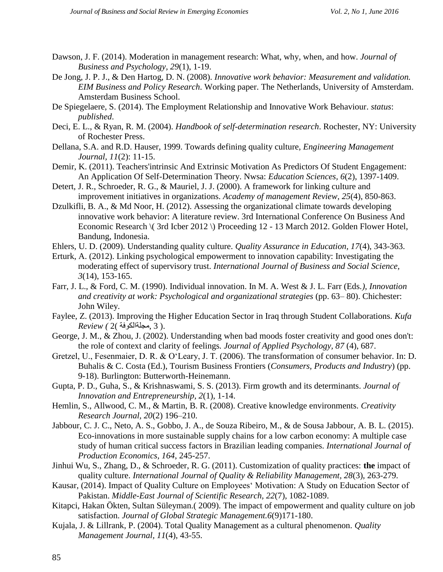- Dawson, J. F. (2014). Moderation in management research: What, why, when, and how. *Journal of Business and Psychology, 29*(1), 1-19.
- De Jong, J. P. J., & Den Hartog, D. N. (2008). *Innovative work behavior: Measurement and validation. EIM Business and Policy Research*. Working paper. The Netherlands, University of Amsterdam. Amsterdam Business School.
- De Spiegelaere, S. (2014). The Employment Relationship and Innovative Work Behaviour. *status*: *published*.
- Deci, E. L., & Ryan, R. M. (2004). *Handbook of self-determination research*. Rochester, NY: University of Rochester Press.
- Dellana, S.A. and R.D. Hauser, 1999. Towards defining quality culture, *Engineering Management Journal, 11*(2): 11-15.
- Demir, K. (2011). Teachers'intrinsic And Extrinsic Motivation As Predictors Of Student Engagement: An Application Of Self-Determination Theory. Nwsa: *Education Sciences, 6*(2), 1397-1409.
- Detert, J. R., Schroeder, R. G., & Mauriel, J. J. (2000). A framework for linking culture and improvement initiatives in organizations. *Academy of management Review, 25*(4), 850-863.
- Dzulkifli, B. A., & Md Noor, H. (2012). Assessing the organizational climate towards developing innovative work behavior: A literature review. 3rd International Conference On Business And Economic Research \( 3rd Icber 2012 \) Proceeding 12 - 13 March 2012. Golden Flower Hotel, Bandung, Indonesia.
- Ehlers, U. D. (2009). Understanding quality culture. *Quality Assurance in Education, 17*(4), 343-363.
- Erturk, A. (2012). Linking psychological empowerment to innovation capability: Investigating the moderating effect of supervisory trust. *International Journal of Business and Social Science, 3*(14), 153-165.
- Farr, J. L., & Ford, C. M. (1990). Individual innovation. In M. A. West & J. L. Farr (Eds*.), Innovation and creativity at work: Psychological and organizational strategies* (pp. 63– 80). Chichester: John Wiley.
- Faylee, Z. (2013). Improving the Higher Education Sector in Iraq through Student Collaborations. *Kufa*  .( 3 ,مجلةالكوفة )2 *) Review*
- George, J. M., & Zhou, J. (2002). Understanding when bad moods foster creativity and good ones don't: the role of context and clarity of feelings*. Journal of Applied Psychology, 87* (4), 687.
- Gretzel, U., Fesenmaier, D. R. & O'Leary, J. T. (2006). The transformation of consumer behavior. In: D. Buhalis & C. Costa (Ed.), Tourism Business Frontiers (*Consumers, Products and Industry*) (pp. 9-18). Burlington: Butterworth-Heinemann.
- Gupta, P. D., Guha, S., & Krishnaswami, S. S. (2013). Firm growth and its determinants. *Journal of Innovation and Entrepreneurship, 2*(1), 1-14.
- Hemlin, S., Allwood, C. M., & Martin, B. R. (2008). Creative knowledge environments. *Creativity Research Journal, 20*(2) 196–210.
- Jabbour, C. J. C., Neto, A. S., Gobbo, J. A., de Souza Ribeiro, M., & de Sousa Jabbour, A. B. L. (2015). Eco-innovations in more sustainable supply chains for a low carbon economy: A multiple case study of human critical success factors in Brazilian leading companies. *International Journal of Production Economics, 164*, 245-257.
- Jinhui Wu, S., Zhang, D., & Schroeder, R. G. (2011). Customization of quality practices: **the** impact of quality culture. *International Journal of Quality & Reliability Management, 28*(3), 263-279.
- Kausar, (2014). Impact of Quality Culture on Employees' Motivation: A Study on Education Sector of Pakistan. *Middle-East Journal of Scientific Research, 22*(7), 1082-1089.
- Kitapci, Hakan Ökten, Sultan Süleyman.( 2009). The impact of empowerment and quality culture on job satisfaction. *Journal of Global Strategic Management.6*(9)171-180.
- Kujala, J. & Lillrank, P. (2004). Total Quality Management as a cultural phenomenon. *Quality Management Journal, 11*(4), 43-55.